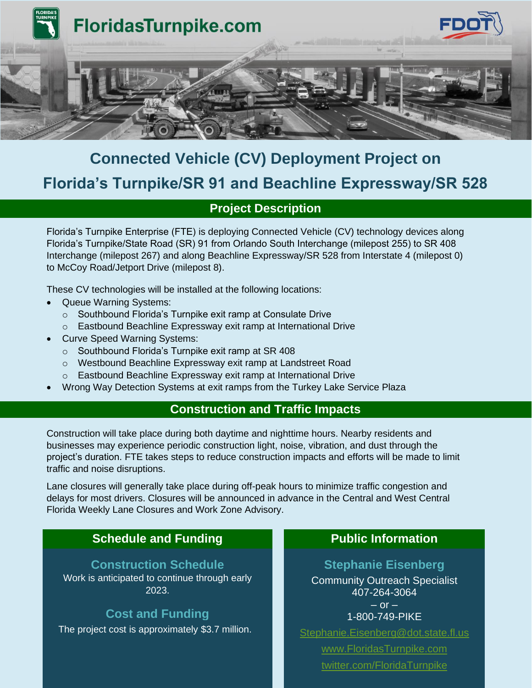

# **Connected Vehicle (CV) Deployment Project on Florida's Turnpike/SR 91 and Beachline Expressway/SR 528**

### **Project Description**

Florida's Turnpike Enterprise (FTE) is deploying Connected Vehicle (CV) technology devices along Florida's Turnpike/State Road (SR) 91 from Orlando South Interchange (milepost 255) to SR 408 Interchange (milepost 267) and along Beachline Expressway/SR 528 from Interstate 4 (milepost 0) to McCoy Road/Jetport Drive (milepost 8).

These CV technologies will be installed at the following locations:

- Queue Warning Systems:
	- o Southbound Florida's Turnpike exit ramp at Consulate Drive
	- o Eastbound Beachline Expressway exit ramp at International Drive
- Curve Speed Warning Systems:
	- o Southbound Florida's Turnpike exit ramp at SR 408
	- o Westbound Beachline Expressway exit ramp at Landstreet Road
	- o Eastbound Beachline Expressway exit ramp at International Drive
- Wrong Way Detection Systems at exit ramps from the Turkey Lake Service Plaza

### **Construction and Traffic Impacts**

Construction will take place during both daytime and nighttime hours. Nearby residents and businesses may experience periodic construction light, noise, vibration, and dust through the project's duration. FTE takes steps to reduce construction impacts and efforts will be made to limit traffic and noise disruptions.

Lane closures will generally take place during off-peak hours to minimize traffic congestion and delays for most drivers. Closures will be announced in advance in the Central and West Central Florida Weekly Lane Closures and Work Zone Advisory.

### **Schedule and Funding The Rublic Public Information**

**Construction Schedule** Work is anticipated to continue through early 2023.

### **Cost and Funding**

The project cost is approximately \$3.7 million.

**Stephanie Eisenberg** Community Outreach Specialist 407-264-3064  $-$  or  $-$ 1-800-749-PIKE

[Stephanie.Eisenberg@dot.state.fl.us](mailto:Stephanie.Eisenberg@dot.state.fl.us)

[www.FloridasTurnpike.com](http://www.floridasturnpike.com/) [twitter.com/FloridaTurnpike](https://twitter.com/FloridaTurnpike)